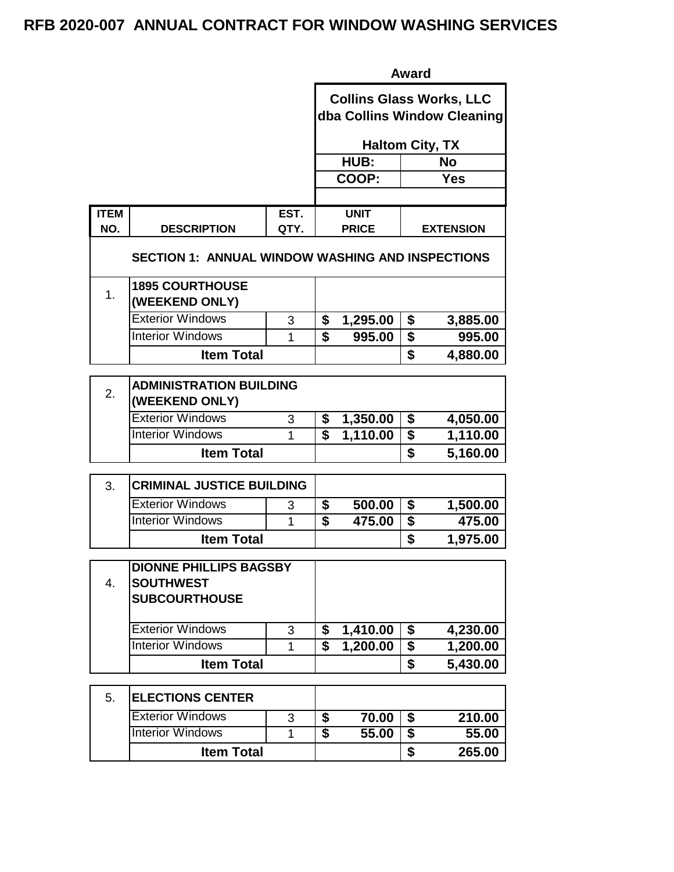|                    |                                                         |      | Award                                                          |                        |                                      |                  |  |
|--------------------|---------------------------------------------------------|------|----------------------------------------------------------------|------------------------|--------------------------------------|------------------|--|
|                    |                                                         |      | <b>Collins Glass Works, LLC</b><br>dba Collins Window Cleaning |                        |                                      |                  |  |
|                    |                                                         |      |                                                                | <b>Haltom City, TX</b> |                                      |                  |  |
|                    |                                                         |      |                                                                | HUB:                   |                                      | <b>No</b>        |  |
|                    |                                                         |      |                                                                | COOP:                  |                                      | <b>Yes</b>       |  |
|                    |                                                         |      |                                                                |                        |                                      |                  |  |
| <b>ITEM</b><br>NO. |                                                         | EST. |                                                                | <b>UNIT</b>            |                                      |                  |  |
|                    | <b>DESCRIPTION</b>                                      | QTY. |                                                                | <b>PRICE</b>           |                                      | <b>EXTENSION</b> |  |
|                    | <b>SECTION 1: ANNUAL WINDOW WASHING AND INSPECTIONS</b> |      |                                                                |                        |                                      |                  |  |
| 1.                 | <b>1895 COURTHOUSE</b><br>(WEEKEND ONLY)                |      |                                                                |                        |                                      |                  |  |
|                    | <b>Exterior Windows</b>                                 | 3    | \$                                                             | 1,295.00               | \$                                   | 3,885.00         |  |
|                    | <b>Interior Windows</b>                                 | 1    | $\overline{\boldsymbol{s}}$                                    | 995.00                 | \$                                   | 995.00           |  |
|                    | <b>Item Total</b>                                       |      |                                                                |                        | \$                                   | 4,880.00         |  |
|                    |                                                         |      |                                                                |                        |                                      |                  |  |
| 2.                 | <b>ADMINISTRATION BUILDING</b><br>(WEEKEND ONLY)        |      |                                                                |                        |                                      |                  |  |
|                    | <b>Exterior Windows</b>                                 | 3    | \$                                                             | 1,350.00               | \$                                   | 4,050.00         |  |
|                    | <b>Interior Windows</b>                                 | 1    | Ŝ                                                              | 1,110.00               | \$                                   | 1,110.00         |  |
|                    | <b>Item Total</b>                                       |      |                                                                |                        | \$                                   | 5,160.00         |  |
| 3.                 | <b>CRIMINAL JUSTICE BUILDING</b>                        |      |                                                                |                        |                                      |                  |  |
|                    | <b>Exterior Windows</b>                                 | 3    | \$                                                             | 500.00                 | \$                                   | 1,500.00         |  |
|                    | <b>Interior Windows</b>                                 | 1    | \$                                                             | 475.00                 | $\overline{\boldsymbol{\mathsf{s}}}$ | 475.00           |  |
|                    | <b>Item Total</b>                                       |      |                                                                |                        | \$                                   | 1,975.00         |  |
|                    | <b>DIONNE PHILLIPS BAGSBY</b>                           |      |                                                                |                        |                                      |                  |  |
| 4.                 | <b>SOUTHWEST</b>                                        |      |                                                                |                        |                                      |                  |  |
|                    | <b>SUBCOURTHOUSE</b>                                    |      |                                                                |                        |                                      |                  |  |
|                    | <b>Exterior Windows</b>                                 | 3    | \$                                                             | 1,410.00               | \$                                   | 4,230.00         |  |
|                    | <b>Interior Windows</b>                                 | 1    | \$                                                             | 1,200.00               | \$                                   | 1,200.00         |  |
|                    | <b>Item Total</b>                                       |      |                                                                |                        | \$                                   | 5,430.00         |  |
| 5.                 | <b>ELECTIONS CENTER</b>                                 |      |                                                                |                        |                                      |                  |  |
|                    | <b>Exterior Windows</b>                                 | 3    | \$                                                             | 70.00                  | $\overline{\boldsymbol{\mathsf{s}}}$ | 210.00           |  |
|                    | <b>Interior Windows</b>                                 | 1    | \$                                                             | 55.00                  | \$                                   | 55.00            |  |
|                    | <b>Item Total</b>                                       |      |                                                                |                        | \$                                   | 265.00           |  |
|                    |                                                         |      |                                                                |                        |                                      |                  |  |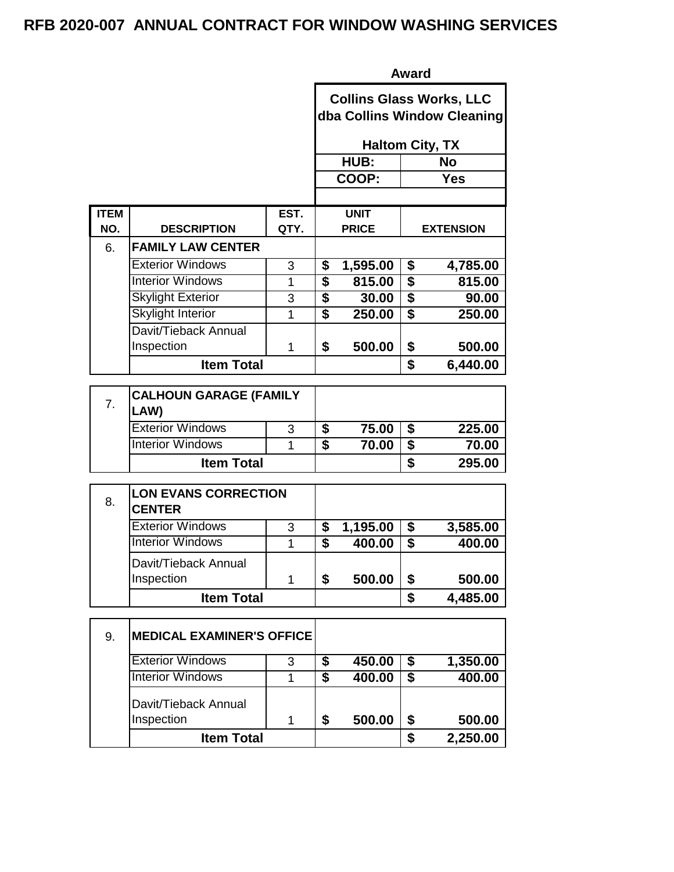|                |                                              |             | <b>Award</b>                |                        |                                      |                                                                |  |  |
|----------------|----------------------------------------------|-------------|-----------------------------|------------------------|--------------------------------------|----------------------------------------------------------------|--|--|
|                |                                              |             |                             |                        |                                      | <b>Collins Glass Works, LLC</b><br>dba Collins Window Cleaning |  |  |
|                |                                              |             |                             | <b>Haltom City, TX</b> |                                      |                                                                |  |  |
|                |                                              |             |                             | HUB:                   |                                      | <b>No</b>                                                      |  |  |
|                |                                              |             |                             | COOP:                  |                                      | <b>Yes</b>                                                     |  |  |
|                |                                              |             |                             |                        |                                      |                                                                |  |  |
| <b>ITEM</b>    |                                              | EST.        |                             | <b>UNIT</b>            |                                      |                                                                |  |  |
| NO.            | <b>DESCRIPTION</b>                           | QTY.        |                             | <b>PRICE</b>           |                                      | <b>EXTENSION</b>                                               |  |  |
| 6.             | <b>FAMILY LAW CENTER</b>                     |             |                             |                        |                                      |                                                                |  |  |
|                | <b>Exterior Windows</b>                      | 3           | \$                          | 1,595.00               | \$                                   | 4,785.00                                                       |  |  |
|                | <b>Interior Windows</b>                      | 1           | \$                          | 815.00                 | \$                                   | 815.00                                                         |  |  |
|                | <b>Skylight Exterior</b>                     | 3           | $\overline{\$}$             | 30.00                  | $\overline{\$}$                      | 90.00                                                          |  |  |
|                | <b>Skylight Interior</b>                     | 1           | $\overline{\boldsymbol{s}}$ | 250.00                 | $\overline{\boldsymbol{s}}$          | 250.00                                                         |  |  |
|                | Davit/Tieback Annual                         |             |                             |                        |                                      |                                                                |  |  |
|                | Inspection                                   | 1           | \$                          | 500.00                 | \$                                   | 500.00                                                         |  |  |
|                | <b>Item Total</b>                            |             |                             |                        | \$                                   | 6,440.00                                                       |  |  |
|                |                                              |             |                             |                        |                                      |                                                                |  |  |
| 7 <sub>1</sub> | <b>CALHOUN GARAGE (FAMILY</b><br>LAW)        |             |                             |                        |                                      |                                                                |  |  |
|                | <b>Exterior Windows</b>                      | 3           | \$                          | 75.00                  | $\overline{\boldsymbol{\mathsf{s}}}$ | 225.00                                                         |  |  |
|                | <b>Interior Windows</b>                      | 1           | $\overline{\mathbf{s}}$     | 70.00                  | \$                                   | 70.00                                                          |  |  |
|                | <b>Item Total</b>                            |             |                             |                        | \$                                   | 295.00                                                         |  |  |
|                |                                              |             |                             |                        |                                      |                                                                |  |  |
| 8.             | <b>LON EVANS CORRECTION</b><br><b>CENTER</b> |             |                             |                        |                                      |                                                                |  |  |
|                | <b>Exterior Windows</b>                      | 3           | \$                          | 1,195.00               | \$                                   | 3,585.00                                                       |  |  |
|                | <b>Interior Windows</b>                      | 1           | $\overline{\mathbf{s}}$     | 400.00                 | $\overline{\$}$                      | 400.00                                                         |  |  |
|                | Davit/Tieback Annual                         |             |                             |                        |                                      |                                                                |  |  |
|                | Inspection                                   | $\mathbf 1$ | \$                          | 500.00                 | \$                                   | 500.00                                                         |  |  |
|                | <b>Item Total</b>                            |             |                             |                        | \$                                   | 4,485.00                                                       |  |  |
|                |                                              |             |                             |                        |                                      |                                                                |  |  |
| 9.             | <b>MEDICAL EXAMINER'S OFFICE</b>             |             |                             |                        |                                      |                                                                |  |  |
|                | <b>Exterior Windows</b>                      | 3           | \$                          | 450.00                 | \$                                   | 1,350.00                                                       |  |  |
|                | <b>Interior Windows</b>                      | 1           | $\overline{\$}$             | 400.00                 | $\overline{\boldsymbol{\mathsf{s}}}$ | 400.00                                                         |  |  |
|                | Davit/Tieback Annual                         |             |                             |                        |                                      |                                                                |  |  |
|                | Inspection                                   | 1           | \$                          | 500.00                 | \$                                   | 500.00                                                         |  |  |
|                | <b>Item Total</b>                            |             |                             |                        | \$                                   | 2,250.00                                                       |  |  |
|                |                                              |             |                             |                        |                                      |                                                                |  |  |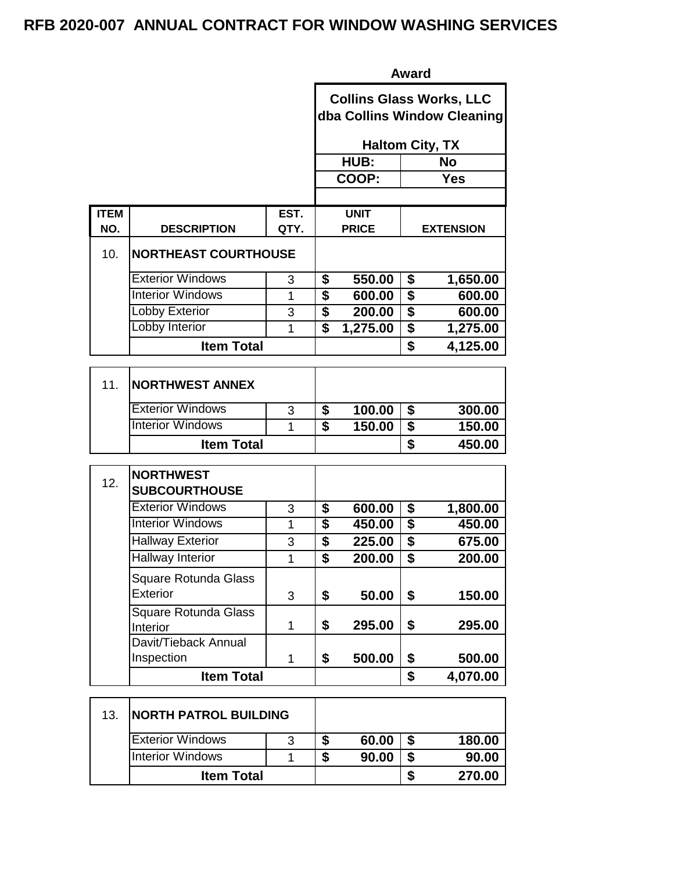|             |                                                   |      | <b>Award</b>                         |                                 |                                      |                             |  |
|-------------|---------------------------------------------------|------|--------------------------------------|---------------------------------|--------------------------------------|-----------------------------|--|
|             |                                                   |      |                                      | <b>Collins Glass Works, LLC</b> |                                      | dba Collins Window Cleaning |  |
|             |                                                   |      |                                      | <b>Haltom City, TX</b>          |                                      |                             |  |
|             |                                                   |      |                                      | HUB:                            |                                      | <b>No</b>                   |  |
|             |                                                   |      |                                      | COOP:                           |                                      | <b>Yes</b>                  |  |
| <b>ITEM</b> |                                                   | EST. |                                      | <b>UNIT</b>                     |                                      |                             |  |
| NO.         | <b>DESCRIPTION</b>                                | QTY. |                                      | <b>PRICE</b>                    |                                      | <b>EXTENSION</b>            |  |
| 10.         | <b>NORTHEAST COURTHOUSE</b>                       |      |                                      |                                 |                                      |                             |  |
|             | <b>Exterior Windows</b>                           | 3    | \$                                   | 550.00                          | \$                                   | 1,650.00                    |  |
|             | <b>Interior Windows</b>                           | 1    | $\overline{\boldsymbol{\mathsf{s}}}$ | 600.00                          | $\overline{\boldsymbol{\mathsf{s}}}$ | 600.00                      |  |
|             | <b>Lobby Exterior</b>                             | 3    | $\overline{\boldsymbol{\mathsf{s}}}$ | 200.00                          | $\overline{\boldsymbol{\mathsf{s}}}$ | 600.00                      |  |
|             | Lobby Interior                                    | 1    | $\overline{\mathbf{s}}$              | 1,275.00                        | $\overline{\boldsymbol{\mathsf{S}}}$ | 1,275.00                    |  |
|             | <b>Item Total</b>                                 |      |                                      |                                 | \$                                   | 4,125.00                    |  |
| 11.         | <b>NORTHWEST ANNEX</b><br><b>Exterior Windows</b> | 3    | \$                                   | 100.00                          | \$                                   | 300.00                      |  |
|             | <b>Interior Windows</b>                           | 1    | $\overline{\boldsymbol{s}}$          | 150.00                          | \$                                   | 150.00                      |  |
|             | <b>Item Total</b>                                 |      |                                      |                                 | \$                                   | 450.00                      |  |
|             |                                                   |      |                                      |                                 |                                      |                             |  |
| 12.         | <b>NORTHWEST</b><br><b>SUBCOURTHOUSE</b>          |      |                                      |                                 |                                      |                             |  |
|             | <b>Exterior Windows</b>                           | 3    | \$                                   | 600.00                          | \$                                   | 1,800.00                    |  |
|             | <b>Interior Windows</b>                           | 1    | $\overline{\boldsymbol{s}}$          | 450.00                          | $\overline{\$}$                      | 450.00                      |  |
|             | <b>Hallway Exterior</b>                           | 3    | \$                                   | 225.00                          | \$                                   | 675.00                      |  |
|             | Hallway Interior                                  | 1    | \$                                   | 200.00                          | $\overline{\boldsymbol{\mathsf{s}}}$ | 200.00                      |  |
|             | Square Rotunda Glass<br><b>Exterior</b>           | 3    | \$                                   | 50.00                           | \$                                   | 150.00                      |  |
|             | Square Rotunda Glass<br>Interior                  | 1    | \$                                   | 295.00                          | \$                                   | 295.00                      |  |
|             | Davit/Tieback Annual<br>Inspection                | 1    | \$                                   | 500.00                          | \$                                   | 500.00                      |  |
|             | <b>Item Total</b>                                 |      |                                      |                                 | \$                                   | 4,070.00                    |  |
| 13.         | <b>NORTH PATROL BUILDING</b>                      |      |                                      |                                 |                                      |                             |  |
|             | <b>Exterior Windows</b>                           | 3    | \$                                   | 60.00                           | \$                                   | 180.00                      |  |
|             | <b>Interior Windows</b>                           | 1    | $\overline{\boldsymbol{\mathsf{s}}}$ | 90.00                           | \$                                   | 90.00                       |  |

**11em Total \$** 270.00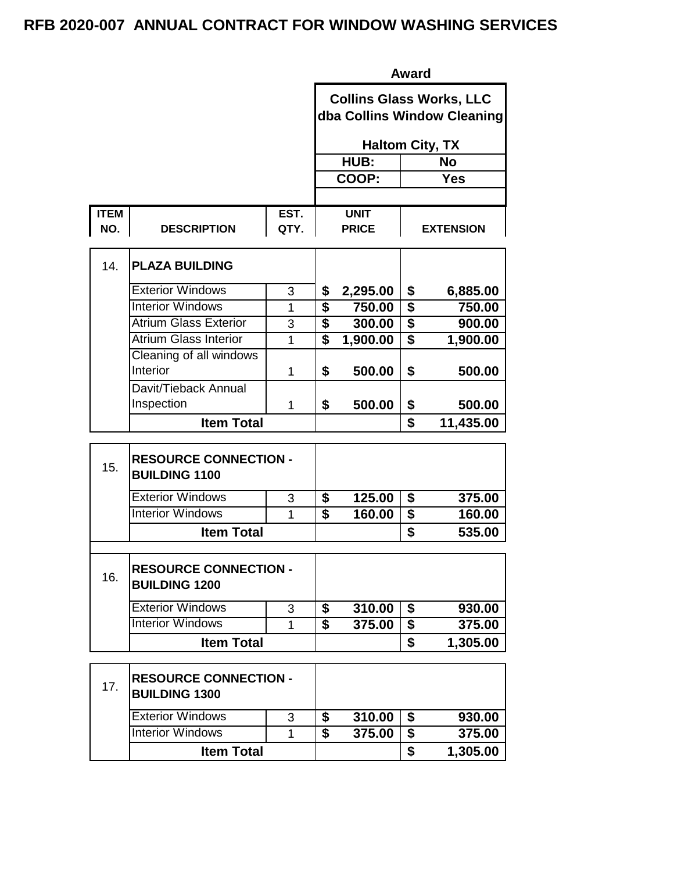|             |                                                      |                |                               |                                 | Award                                      |                                      |
|-------------|------------------------------------------------------|----------------|-------------------------------|---------------------------------|--------------------------------------------|--------------------------------------|
|             |                                                      |                |                               | <b>Collins Glass Works, LLC</b> |                                            | dba Collins Window Cleaning          |
|             |                                                      |                | <b>Haltom City, TX</b>        |                                 |                                            |                                      |
|             |                                                      |                |                               | HUB:                            | No                                         |                                      |
|             |                                                      |                |                               | COOP:                           |                                            | <b>Yes</b>                           |
| <b>ITEM</b> |                                                      | EST.           |                               | <b>UNIT</b>                     |                                            |                                      |
| NO.         | <b>DESCRIPTION</b>                                   | QTY.           |                               | <b>PRICE</b>                    |                                            | <b>EXTENSION</b>                     |
| 14.         | <b>PLAZA BUILDING</b>                                |                |                               |                                 |                                            |                                      |
|             | <b>Exterior Windows</b>                              | 3              | \$                            | 2,295.00                        | \$                                         | 6,885.00                             |
|             | <b>Interior Windows</b>                              | 1              | \$                            | 750.00                          | \$                                         | 750.00                               |
|             | <b>Atrium Glass Exterior</b>                         | 3              | \$                            | 300.00                          | $\overline{\boldsymbol{\mathsf{S}}}$       | 900.00                               |
|             | <b>Atrium Glass Interior</b>                         | $\overline{1}$ | \$                            | 1,900.00                        | \$                                         | 1,900.00                             |
|             | Cleaning of all windows<br>Interior                  | 1              | \$                            | 500.00                          | \$                                         | 500.00                               |
|             | Davit/Tieback Annual                                 |                |                               |                                 |                                            |                                      |
|             | Inspection                                           | 1              | \$                            | 500.00                          | \$                                         | 500.00                               |
|             | <b>Item Total</b>                                    |                |                               |                                 | \$                                         | 11,435.00                            |
|             |                                                      |                |                               |                                 |                                            |                                      |
| 15.         | <b>RESOURCE CONNECTION -</b><br><b>BUILDING 1100</b> |                |                               |                                 |                                            |                                      |
|             | <b>Exterior Windows</b>                              | 3              | \$                            | 125.00                          | \$                                         | 375.00                               |
|             | <b>Interior Windows</b>                              | 1              | \$                            | 160.00                          | $\overline{\$}$                            |                                      |
|             | <b>Item Total</b>                                    |                |                               |                                 | \$                                         |                                      |
| 16.         | <b>RESOURCE CONNECTION -</b><br><b>BUILDING 1200</b> |                |                               |                                 |                                            |                                      |
|             | <b>Exterior Windows</b>                              |                |                               |                                 |                                            |                                      |
|             | <b>Interior Windows</b>                              | 3<br>1         | \$<br>$\overline{\mathbf{s}}$ | 310.00<br>375.00                | $\overline{\boldsymbol{\mathsf{s}}}$<br>\$ | 160.00<br>535.00<br>930.00<br>375.00 |

| 17. | <b>RESOURCE CONNECTION -</b><br><b>BUILDING 1300</b> |   |   |        |          |
|-----|------------------------------------------------------|---|---|--------|----------|
|     | <b>Exterior Windows</b>                              | 3 | S | 310.00 | 930.00   |
|     | <b>Interior Windows</b>                              |   | S | 375.00 | 375.00   |
|     | <b>Item Total</b>                                    |   |   |        | 1,305.00 |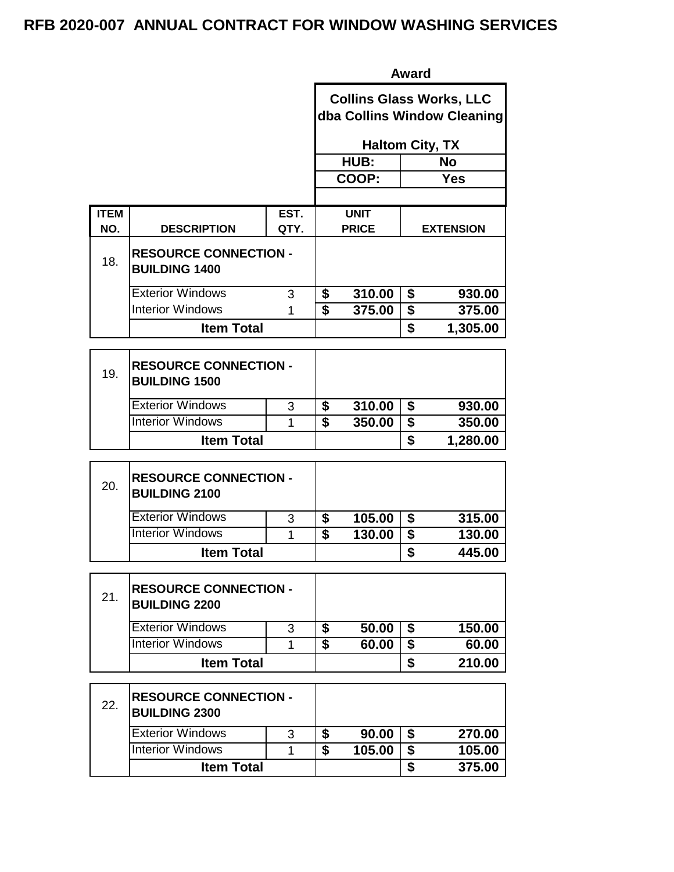|             |                                                      |      |                             |              | <b>Award</b>                                            |                                                                |  |
|-------------|------------------------------------------------------|------|-----------------------------|--------------|---------------------------------------------------------|----------------------------------------------------------------|--|
|             |                                                      |      |                             |              |                                                         | <b>Collins Glass Works, LLC</b><br>dba Collins Window Cleaning |  |
|             |                                                      |      |                             |              | <b>Haltom City, TX</b>                                  |                                                                |  |
|             |                                                      |      |                             | HUB:         |                                                         | <b>No</b>                                                      |  |
|             |                                                      |      |                             | COOP:        |                                                         | <b>Yes</b>                                                     |  |
| <b>ITEM</b> |                                                      | EST. |                             | <b>UNIT</b>  |                                                         |                                                                |  |
| NO.         | <b>DESCRIPTION</b>                                   | QTY. |                             | <b>PRICE</b> |                                                         | <b>EXTENSION</b>                                               |  |
| 18.         | <b>RESOURCE CONNECTION -</b><br><b>BUILDING 1400</b> |      |                             |              |                                                         |                                                                |  |
|             | <b>Exterior Windows</b>                              | 3    | \$                          | 310.00       | \$                                                      | 930.00                                                         |  |
|             | <b>Interior Windows</b>                              | 1    | $\overline{\mathbf{s}}$     | 375.00       | $\overline{\$}$                                         | 375.00                                                         |  |
|             | <b>Item Total</b>                                    |      |                             |              | \$                                                      | 1,305.00                                                       |  |
|             |                                                      |      |                             |              |                                                         |                                                                |  |
| 19.         | <b>RESOURCE CONNECTION -</b><br><b>BUILDING 1500</b> |      |                             |              |                                                         |                                                                |  |
|             | <b>Exterior Windows</b>                              | 3    | \$                          | 310.00       | \$                                                      | 930.00                                                         |  |
|             | <b>Interior Windows</b>                              | 1    | $\overline{\boldsymbol{s}}$ | 350.00       | $\overline{\$}$                                         | 350.00                                                         |  |
|             | <b>Item Total</b>                                    |      |                             |              | \$                                                      | 1,280.00                                                       |  |
| 20.         | <b>RESOURCE CONNECTION -</b><br><b>BUILDING 2100</b> |      |                             |              |                                                         |                                                                |  |
|             | <b>Exterior Windows</b>                              | 3    | \$                          | 105.00       | \$                                                      | 315.00                                                         |  |
|             | <b>Interior Windows</b>                              | 1    | $\overline{\mathbf{s}}$     | 130.00       | $\overline{\$}$                                         | 130.00                                                         |  |
|             | <b>Item Total</b>                                    |      |                             |              | \$                                                      | 445.00                                                         |  |
| 21.         | <b>RESOURCE CONNECTION -</b><br><b>BUILDING 2200</b> |      |                             |              |                                                         |                                                                |  |
|             | <b>Exterior Windows</b>                              | 3    | \$                          | 50.00        | \$                                                      | 150.00                                                         |  |
|             | <b>Interior Windows</b>                              | 1    | $\overline{\mathbf{s}}$     | 60.00        | $\overline{\$}$                                         | 60.00                                                          |  |
|             | <b>Item Total</b>                                    |      |                             |              | \$                                                      | 210.00                                                         |  |
| 22.         | <b>RESOURCE CONNECTION -</b><br><b>BUILDING 2300</b> |      |                             |              |                                                         |                                                                |  |
|             | <b>Exterior Windows</b>                              | 3    | \$                          | 90.00        | \$                                                      | 270.00                                                         |  |
|             |                                                      |      |                             |              |                                                         |                                                                |  |
|             | <b>Interior Windows</b>                              | 1    | $\overline{\mathbf{s}}$     | 105.00       | $\overline{\$}$<br>$\overline{\boldsymbol{\mathsf{s}}}$ | 105.00                                                         |  |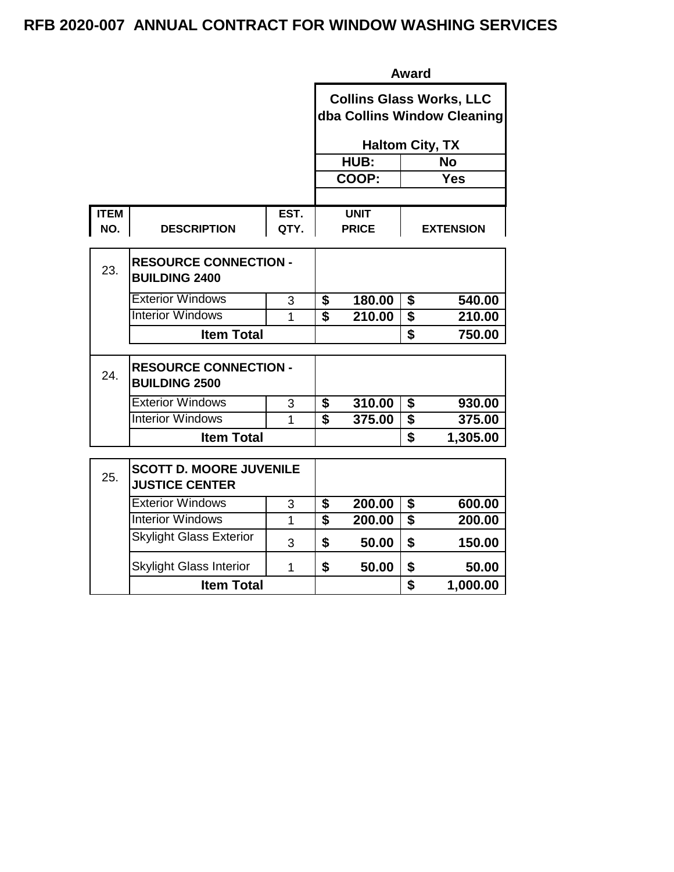|                    |                                                         |              | <b>Award</b>                                                   |                             |                         |                  |  |  |
|--------------------|---------------------------------------------------------|--------------|----------------------------------------------------------------|-----------------------------|-------------------------|------------------|--|--|
|                    |                                                         |              | <b>Collins Glass Works, LLC</b><br>dba Collins Window Cleaning |                             |                         |                  |  |  |
|                    |                                                         |              |                                                                | <b>Haltom City, TX</b>      |                         |                  |  |  |
|                    |                                                         |              |                                                                | HUB:                        |                         | <b>No</b>        |  |  |
|                    |                                                         |              |                                                                | COOP:                       |                         | <b>Yes</b>       |  |  |
|                    |                                                         |              |                                                                |                             |                         |                  |  |  |
| <b>ITEM</b><br>NO. | <b>DESCRIPTION</b>                                      | EST.<br>QTY. |                                                                | <b>UNIT</b><br><b>PRICE</b> |                         | <b>EXTENSION</b> |  |  |
| 23.                | <b>RESOURCE CONNECTION -</b><br><b>BUILDING 2400</b>    |              |                                                                |                             |                         |                  |  |  |
|                    | <b>Exterior Windows</b>                                 | 3            | \$                                                             | 180.00                      | \$                      | 540.00           |  |  |
|                    | <b>Interior Windows</b>                                 | 1            | $\overline{\mathbf{s}}$                                        | 210.00                      | $\overline{\mathbf{s}}$ | 210.00           |  |  |
|                    | <b>Item Total</b>                                       |              |                                                                |                             | \$                      | 750.00           |  |  |
| 24.                | <b>RESOURCE CONNECTION -</b><br><b>BUILDING 2500</b>    |              |                                                                |                             |                         |                  |  |  |
|                    | <b>Exterior Windows</b>                                 | 3            | \$                                                             | 310.00                      | \$                      | 930.00           |  |  |
|                    | <b>Interior Windows</b>                                 | 1            | \$                                                             | 375.00                      | $\overline{\$}$         | 375.00           |  |  |
|                    | <b>Item Total</b>                                       |              |                                                                |                             | \$                      | 1,305.00         |  |  |
| 25.                | <b>SCOTT D. MOORE JUVENILE</b><br><b>JUSTICE CENTER</b> |              |                                                                |                             |                         |                  |  |  |
|                    | <b>Exterior Windows</b>                                 | 3            | \$                                                             | 200.00                      | \$                      | 600.00           |  |  |
|                    | <b>Interior Windows</b>                                 | $\mathbf{1}$ | \$                                                             | 200.00                      | $\overline{\mathbf{s}}$ | 200.00           |  |  |
|                    | <b>Skylight Glass Exterior</b>                          | 3            | \$                                                             | 50.00                       | \$                      | 150.00           |  |  |
|                    | <b>Skylight Glass Interior</b>                          | 1            | \$                                                             | 50.00                       | \$                      | 50.00            |  |  |
|                    | <b>Item Total</b>                                       |              |                                                                |                             | \$                      | 1,000.00         |  |  |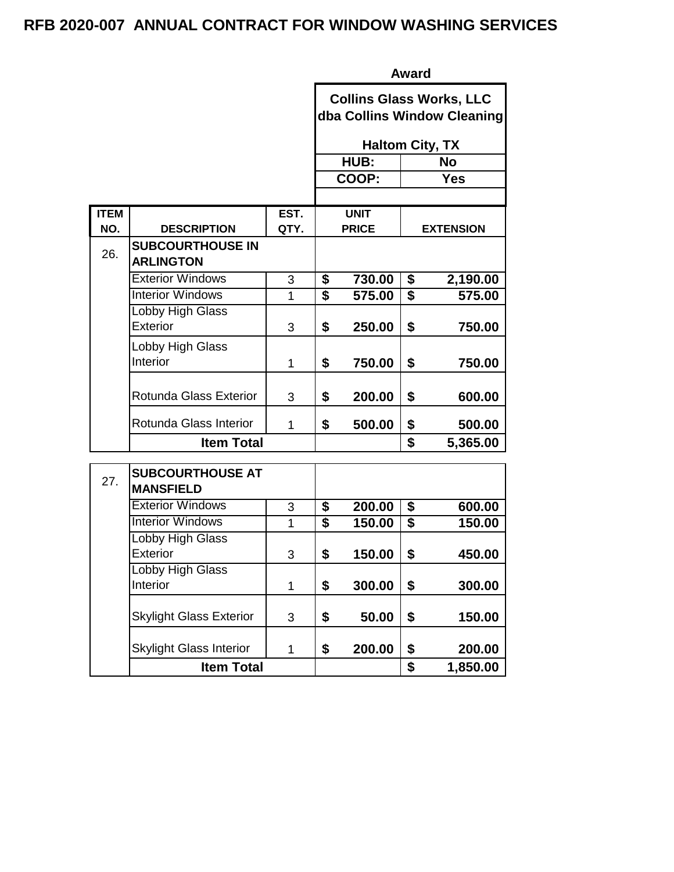|                    |                                             |              | <b>Award</b>                                                   |                             |                 |                  |  |  |
|--------------------|---------------------------------------------|--------------|----------------------------------------------------------------|-----------------------------|-----------------|------------------|--|--|
|                    |                                             |              | <b>Collins Glass Works, LLC</b><br>dba Collins Window Cleaning |                             |                 |                  |  |  |
|                    |                                             |              | <b>Haltom City, TX</b>                                         |                             |                 |                  |  |  |
|                    |                                             |              |                                                                | HUB:                        |                 | <b>No</b>        |  |  |
|                    |                                             |              |                                                                | COOP:                       |                 | <b>Yes</b>       |  |  |
|                    |                                             |              |                                                                |                             |                 |                  |  |  |
| <b>ITEM</b><br>NO. | <b>DESCRIPTION</b>                          | EST.<br>QTY. |                                                                | <b>UNIT</b><br><b>PRICE</b> |                 | <b>EXTENSION</b> |  |  |
| 26.                | <b>SUBCOURTHOUSE IN</b><br><b>ARLINGTON</b> |              |                                                                |                             |                 |                  |  |  |
|                    | <b>Exterior Windows</b>                     | 3            | \$                                                             | 730.00                      | \$              | 2,190.00         |  |  |
|                    | <b>Interior Windows</b>                     | 1            | \$                                                             | 575.00                      | $\overline{\$}$ | 575.00           |  |  |
|                    | Lobby High Glass<br><b>Exterior</b>         | 3            | \$                                                             | 250.00                      | \$              | 750.00           |  |  |
|                    | Lobby High Glass<br>Interior                | 1            | \$                                                             | 750.00                      | \$              | 750.00           |  |  |
|                    | <b>Rotunda Glass Exterior</b>               | 3            | \$                                                             | 200.00                      | \$              | 600.00           |  |  |
|                    | Rotunda Glass Interior                      | 1            | \$                                                             | 500.00                      | \$              | 500.00           |  |  |
|                    | <b>Item Total</b>                           |              |                                                                |                             | \$              | 5,365.00         |  |  |
| 27.                | <b>SUBCOURTHOUSE AT</b><br><b>MANSFIELD</b> |              |                                                                |                             |                 |                  |  |  |
|                    | <b>Exterior Windows</b>                     | 3            | \$                                                             | 200.00                      | \$              | 600.00           |  |  |
|                    | <b>Interior Windows</b>                     | 1            | \$                                                             | 150.00                      | \$              | 150.00           |  |  |
|                    | Lobby High Glass<br><b>Exterior</b>         | 3            | \$                                                             | 150.00                      | \$              | 450.00           |  |  |
|                    | Lobby High Glass<br>Interior                | 1            | \$                                                             | 300.00                      | \$              | 300.00           |  |  |
|                    | <b>Skylight Glass Exterior</b>              | 3            | \$                                                             | 50.00                       | \$              | 150.00           |  |  |
|                    | <b>Skylight Glass Interior</b>              | 1            | \$                                                             | 200.00                      | \$              | 200.00           |  |  |
|                    | <b>Item Total</b>                           |              |                                                                |                             | \$              | 1,850.00         |  |  |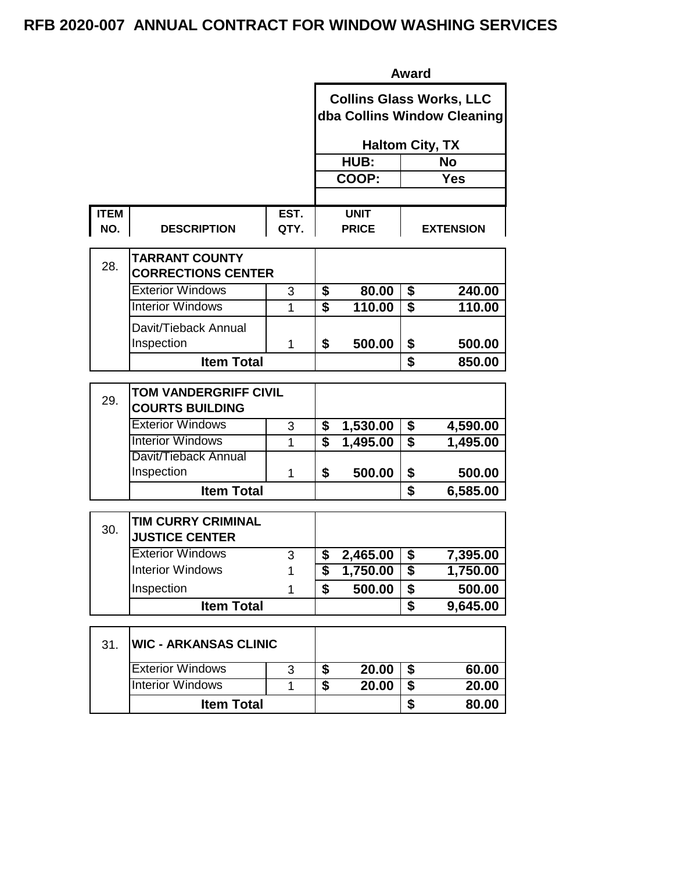|             |                                                        |      | <b>Award</b>            |                        |                                      |                                                                |  |  |
|-------------|--------------------------------------------------------|------|-------------------------|------------------------|--------------------------------------|----------------------------------------------------------------|--|--|
|             |                                                        |      |                         |                        |                                      | <b>Collins Glass Works, LLC</b><br>dba Collins Window Cleaning |  |  |
|             |                                                        |      |                         | <b>Haltom City, TX</b> |                                      |                                                                |  |  |
|             |                                                        |      |                         | HUB:                   |                                      | <b>No</b>                                                      |  |  |
|             |                                                        |      |                         | COOP:                  |                                      | <b>Yes</b>                                                     |  |  |
|             |                                                        |      |                         |                        |                                      |                                                                |  |  |
| <b>ITEM</b> |                                                        | EST. |                         | <b>UNIT</b>            |                                      |                                                                |  |  |
| NO.         | <b>DESCRIPTION</b>                                     | QTY. |                         | <b>PRICE</b>           |                                      | <b>EXTENSION</b>                                               |  |  |
| 28.         | <b>TARRANT COUNTY</b>                                  |      |                         |                        |                                      |                                                                |  |  |
|             | <b>CORRECTIONS CENTER</b>                              |      |                         |                        |                                      |                                                                |  |  |
|             | <b>Exterior Windows</b>                                | 3    | \$                      | 80.00                  | \$                                   | 240.00                                                         |  |  |
|             | <b>Interior Windows</b>                                | 1    | $\overline{\mathbf{s}}$ | 110.00                 | \$                                   | 110.00                                                         |  |  |
|             | Davit/Tieback Annual                                   |      |                         |                        |                                      |                                                                |  |  |
|             | Inspection                                             | 1    | \$                      | 500.00                 | \$                                   | 500.00                                                         |  |  |
|             | <b>Item Total</b>                                      |      |                         |                        | \$                                   | 850.00                                                         |  |  |
| 29.         | <b>TOM VANDERGRIFF CIVIL</b><br><b>COURTS BUILDING</b> |      |                         |                        |                                      |                                                                |  |  |
|             | <b>Exterior Windows</b>                                | 3    | \$                      | 1,530.00               | \$                                   | 4,590.00                                                       |  |  |
|             | <b>Interior Windows</b>                                | 1    | $\overline{\mathbf{s}}$ | 1,495.00               | $\overline{\boldsymbol{s}}$          | 1,495.00                                                       |  |  |
|             | Davit/Tieback Annual<br>Inspection                     | 1    | \$                      | 500.00                 | \$                                   | 500.00                                                         |  |  |
|             | <b>Item Total</b>                                      |      |                         |                        | \$                                   | 6,585.00                                                       |  |  |
| 30.         | TIM CURRY CRIMINAL<br><b>JUSTICE CENTER</b>            |      |                         |                        |                                      |                                                                |  |  |
|             | <b>Exterior Windows</b>                                | 3    | \$                      | 2,465.00               | $\overline{\boldsymbol{\mathsf{s}}}$ | 7,395.00                                                       |  |  |
|             | <b>Interior Windows</b>                                | 1    | \$                      | 1,750.00               | \$                                   | 1,750.00                                                       |  |  |
|             | Inspection                                             | 1    | \$                      | 500.00                 | \$                                   | 500.00                                                         |  |  |
|             | <b>Item Total</b>                                      |      |                         |                        | \$                                   | 9,645.00                                                       |  |  |
| 31.         | <b>WIC - ARKANSAS CLINIC</b>                           |      |                         |                        |                                      |                                                                |  |  |
|             | <b>Exterior Windows</b>                                | 3    | \$                      | 20.00                  | \$                                   | 60.00                                                          |  |  |
|             | <b>Interior Windows</b>                                | 1    | $\overline{\mathbf{s}}$ | 20.00                  | \$                                   | 20.00                                                          |  |  |
|             | <b>Item Total</b>                                      |      |                         |                        | \$                                   | 80.00                                                          |  |  |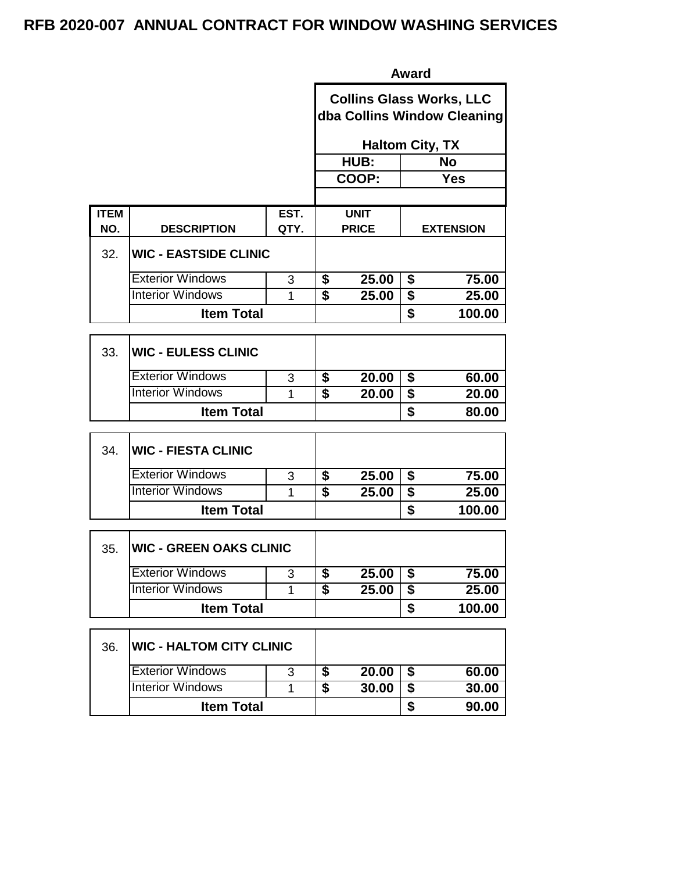|             | <b>Award</b>                 |                |                                                                |                        |                                      |                  |
|-------------|------------------------------|----------------|----------------------------------------------------------------|------------------------|--------------------------------------|------------------|
|             |                              |                | <b>Collins Glass Works, LLC</b><br>dba Collins Window Cleaning |                        |                                      |                  |
|             |                              |                |                                                                | <b>Haltom City, TX</b> |                                      |                  |
|             |                              |                |                                                                | HUB:                   |                                      | <b>No</b>        |
|             |                              |                |                                                                | COOP:                  |                                      | <b>Yes</b>       |
| <b>ITEM</b> |                              | EST.           |                                                                | <b>UNIT</b>            |                                      |                  |
| NO.         | <b>DESCRIPTION</b>           | QTY.           |                                                                | <b>PRICE</b>           |                                      | <b>EXTENSION</b> |
| 32.         | <b>WIC - EASTSIDE CLINIC</b> |                |                                                                |                        |                                      |                  |
|             | <b>Exterior Windows</b>      | 3              | \$                                                             | 25.00                  | \$                                   | 75.00            |
|             | <b>Interior Windows</b>      | 1              | $\overline{\mathbf{s}}$                                        | 25.00                  | $\overline{\boldsymbol{\mathsf{s}}}$ | 25.00            |
|             | <b>Item Total</b>            |                |                                                                |                        | \$                                   | 100.00           |
| 33.         | <b>WIC - EULESS CLINIC</b>   |                |                                                                |                        |                                      |                  |
|             | <b>Exterior Windows</b>      | 3              | $\overline{\boldsymbol{s}}$                                    | 20.00                  | $\overline{\boldsymbol{\mathsf{s}}}$ | 60.00            |
|             | <b>Interior Windows</b>      | $\overline{1}$ | $\overline{\mathbf{s}}$                                        | 20.00                  | \$                                   | 20.00            |
|             | <b>Item Total</b>            |                |                                                                |                        | \$                                   | 80.00            |
| 34.         | <b>WIC - FIESTA CLINIC</b>   |                |                                                                |                        |                                      |                  |
|             | <b>Exterior Windows</b>      | 3              | $\overline{\boldsymbol{s}}$                                    | 25.00                  | $\overline{\boldsymbol{s}}$          | 75.00            |
|             | <b>Interior Windows</b>      | 1              | \$                                                             | 25.00                  | \$                                   | 25.00            |
|             | <b>Item Total</b>            |                |                                                                |                        | \$                                   | 100.00           |
|             |                              |                |                                                                |                        |                                      |                  |

| 35. | <b>WIC - GREEN OAKS CLINIC</b> |   |       |        |
|-----|--------------------------------|---|-------|--------|
|     | <b>Exterior Windows</b>        | ર | 25.00 | 75.00  |
|     | <b>Interior Windows</b>        |   | 25.00 | 25.00  |
|     | <b>Item Total</b>              |   |       | 100.00 |

| 36. | <b>WIC - HALTOM CITY CLINIC</b> |   |       |       |
|-----|---------------------------------|---|-------|-------|
|     | <b>Exterior Windows</b>         | 3 | 20.00 | 60.00 |
|     | Interior Windows                |   | 30.00 | 30.00 |
|     | <b>Item Total</b>               |   |       | 90.00 |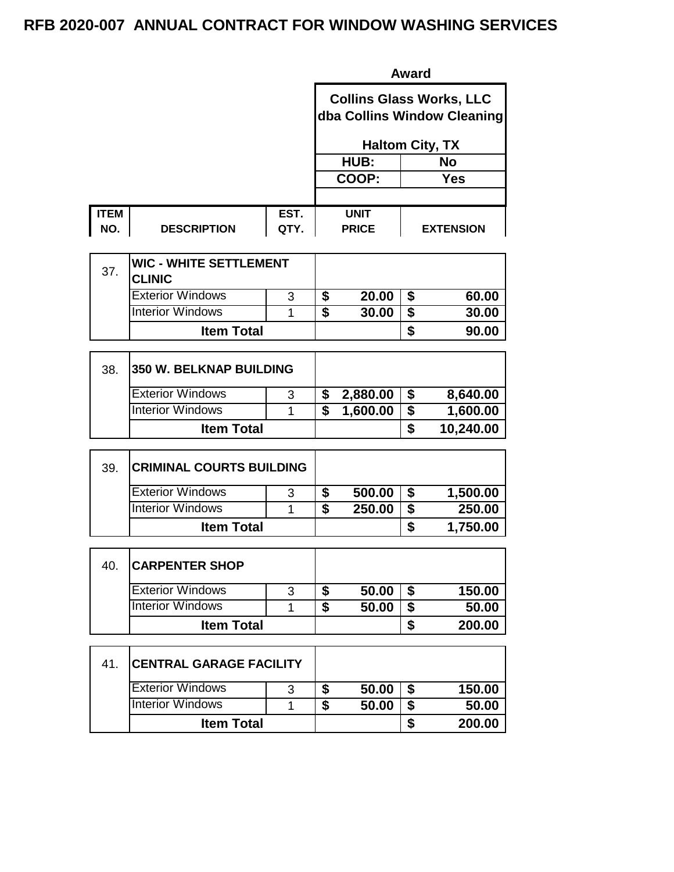|             |                    |      | <b>Award</b>                                                   |                  |  |  |  |  |
|-------------|--------------------|------|----------------------------------------------------------------|------------------|--|--|--|--|
|             |                    |      | <b>Collins Glass Works, LLC</b><br>dba Collins Window Cleaning |                  |  |  |  |  |
|             |                    |      | <b>Haltom City, TX</b>                                         |                  |  |  |  |  |
|             |                    |      | HUB:                                                           | No               |  |  |  |  |
|             |                    |      | COOP:                                                          | Yes              |  |  |  |  |
|             |                    |      |                                                                |                  |  |  |  |  |
| <b>ITEM</b> |                    | EST. | <b>UNIT</b>                                                    |                  |  |  |  |  |
| NO.         | <b>DESCRIPTION</b> | QTY. | <b>PRICE</b>                                                   | <b>EXTENSION</b> |  |  |  |  |

| 37. | <b>WIC - WHITE SETTLEMENT</b><br><b>CLINIC</b> |   |   |       |       |
|-----|------------------------------------------------|---|---|-------|-------|
|     | <b>Exterior Windows</b>                        | 3 |   | 20.00 | 60.00 |
|     | <b>Interior Windows</b>                        |   | æ | 30.00 | 30.00 |
|     | <b>Item Total</b>                              |   |   |       | 90.00 |

| 38. | <b>350 W. BELKNAP BUILDING</b> |   |          |           |
|-----|--------------------------------|---|----------|-----------|
|     | <b>Exterior Windows</b>        | 3 | 2,880.00 | 8,640.00  |
|     | <b>Interior Windows</b>        |   | 1,600.00 | 1,600.00  |
|     | <b>Item Total</b>              |   |          | 10,240.00 |

| 39 | <b>CRIMINAL COURTS BUILDING</b> |   |   |        |          |
|----|---------------------------------|---|---|--------|----------|
|    | <b>Exterior Windows</b>         | 3 |   | 500.00 | 1,500.00 |
|    | <b>Interior Windows</b>         |   | J | 250.00 | 250.00   |
|    | <b>Item Total</b>               |   |   |        | 1,750.00 |

| 40. | <b>CARPENTER SHOP</b>   |   |       |        |
|-----|-------------------------|---|-------|--------|
|     | <b>Exterior Windows</b> | 3 | 50.00 | 150.00 |
|     | <b>Interior Windows</b> |   | 50.00 | 50.00  |
|     | <b>Item Total</b>       |   |       | 200.00 |

| -41. | <b>CENTRAL GARAGE FACILITY</b> |   |       |        |
|------|--------------------------------|---|-------|--------|
|      | <b>Exterior Windows</b>        | 3 | 50.00 | 150.00 |
|      | <b>Interior Windows</b>        |   | 50.00 | 50.00  |
|      | <b>Item Total</b>              |   |       | 200.00 |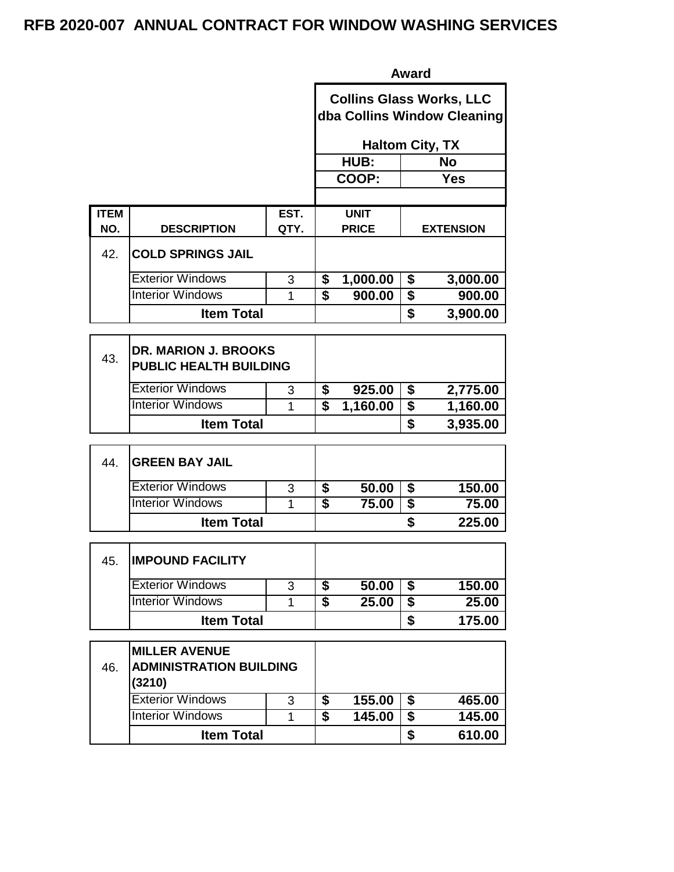|             | <b>Award</b>             |      |                                                                |                        |            |                  |  |  |
|-------------|--------------------------|------|----------------------------------------------------------------|------------------------|------------|------------------|--|--|
|             |                          |      | <b>Collins Glass Works, LLC</b><br>dba Collins Window Cleaning |                        |            |                  |  |  |
|             |                          |      |                                                                | <b>Haltom City, TX</b> |            |                  |  |  |
|             |                          |      | <b>No</b><br>HUB:                                              |                        |            |                  |  |  |
|             |                          |      |                                                                | COOP:                  | <b>Yes</b> |                  |  |  |
|             |                          |      |                                                                |                        |            |                  |  |  |
| <b>ITEM</b> |                          | EST. |                                                                | <b>UNIT</b>            |            |                  |  |  |
| NO.         | <b>DESCRIPTION</b>       | QTY. |                                                                | <b>PRICE</b>           |            | <b>EXTENSION</b> |  |  |
| 42.         | <b>COLD SPRINGS JAIL</b> |      |                                                                |                        |            |                  |  |  |
|             | <b>Exterior Windows</b>  | 3    | \$                                                             | 1,000.00               | \$         | 3,000.00         |  |  |
|             | <b>Interior Windows</b>  | 1    | \$                                                             | 900.00                 | \$         | 900.00           |  |  |
|             | <b>Item Total</b>        |      | \$                                                             |                        |            | 3,900.00         |  |  |

| 43. | <b>DR. MARION J. BROOKS</b><br><b>PUBLIC HEALTH BUILDING</b> |   |          |          |
|-----|--------------------------------------------------------------|---|----------|----------|
|     | <b>Exterior Windows</b>                                      | 3 | 925.00   | 2,775.00 |
|     | <b>Interior Windows</b>                                      |   | 1,160.00 | 1,160.00 |
|     | <b>Item Total</b>                                            |   |          | 3,935.00 |

| 44. | <b>GREEN BAY JAIL</b>   |   |       |        |
|-----|-------------------------|---|-------|--------|
|     | <b>Exterior Windows</b> | 3 | 50.00 | 150.00 |
|     | <b>Interior Windows</b> |   | 75.00 | 75.00  |
|     | <b>Item Total</b>       |   |       | 225.00 |

| 45. | <b>IMPOUND FACILITY</b> |   |   |       |        |
|-----|-------------------------|---|---|-------|--------|
|     | <b>Exterior Windows</b> | 3 |   | 50.00 | 150.00 |
|     | <b>Interior Windows</b> |   | æ | 25.00 | 25.00  |
|     | <b>Item Total</b>       |   |   |       | 175.00 |

| 46. | <b>MILLER AVENUE</b><br><b>ADMINISTRATION BUILDING</b><br>(3210) |  |    |        |        |
|-----|------------------------------------------------------------------|--|----|--------|--------|
|     | <b>Exterior Windows</b><br>3                                     |  | \$ | 155.00 | 465.00 |
|     | <b>Interior Windows</b>                                          |  | S  | 145.00 | 145.00 |
|     | <b>Item Total</b>                                                |  |    |        | 610.00 |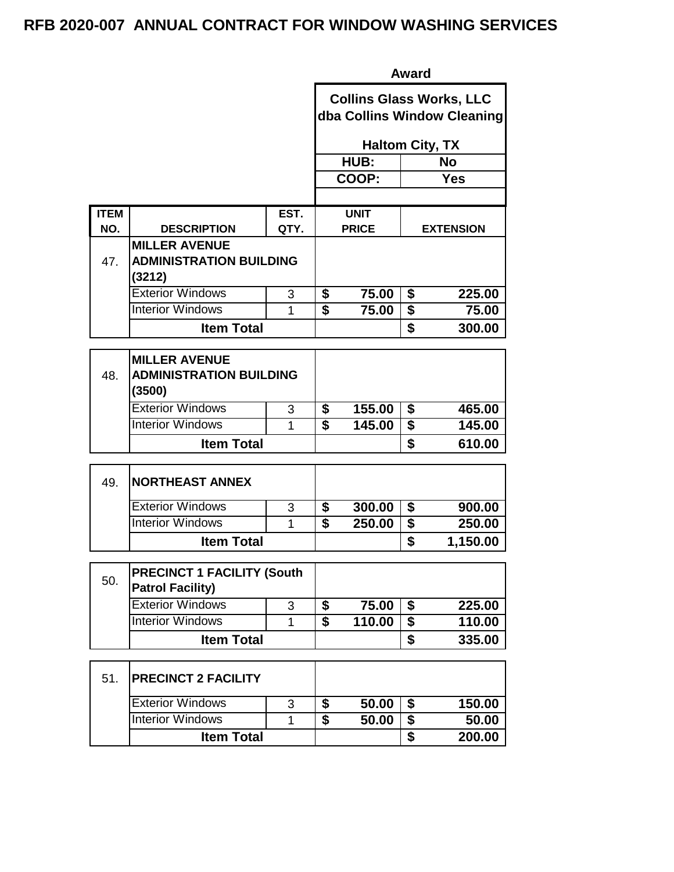|                    |                                                                                                                                  |              | <b>Award</b>                                                   |                             |                                            |                  |  |
|--------------------|----------------------------------------------------------------------------------------------------------------------------------|--------------|----------------------------------------------------------------|-----------------------------|--------------------------------------------|------------------|--|
|                    |                                                                                                                                  |              | <b>Collins Glass Works, LLC</b><br>dba Collins Window Cleaning |                             |                                            |                  |  |
|                    |                                                                                                                                  |              |                                                                | <b>Haltom City, TX</b>      |                                            |                  |  |
|                    |                                                                                                                                  |              |                                                                | HUB:                        |                                            | <b>No</b>        |  |
|                    |                                                                                                                                  |              |                                                                | COOP:                       |                                            | <b>Yes</b>       |  |
|                    |                                                                                                                                  |              |                                                                |                             |                                            |                  |  |
| <b>ITEM</b><br>NO. | <b>DESCRIPTION</b>                                                                                                               | EST.<br>QTY. |                                                                | <b>UNIT</b><br><b>PRICE</b> |                                            | <b>EXTENSION</b> |  |
|                    | <b>MILLER AVENUE</b>                                                                                                             |              |                                                                |                             |                                            |                  |  |
| 47.                | <b>ADMINISTRATION BUILDING</b><br>(3212)                                                                                         |              |                                                                |                             |                                            |                  |  |
|                    | <b>Exterior Windows</b>                                                                                                          | 3            | \$                                                             | 75.00                       | \$                                         | 225.00           |  |
|                    | <b>Interior Windows</b>                                                                                                          | 1            | $\overline{\mathbf{s}}$                                        | 75.00                       | \$                                         | 75.00            |  |
|                    | <b>Item Total</b>                                                                                                                |              |                                                                |                             | \$                                         | 300.00           |  |
| 48.                | <b>MILLER AVENUE</b><br><b>ADMINISTRATION BUILDING</b><br>(3500)<br><b>Exterior Windows</b><br>3<br><b>Interior Windows</b><br>1 |              |                                                                | 155.00<br>145.00            | \$<br>$\overline{\boldsymbol{\mathsf{S}}}$ | 465.00<br>145.00 |  |
|                    | <b>Item Total</b>                                                                                                                |              | $\overline{\boldsymbol{\mathsf{s}}}$                           |                             | \$                                         | 610.00           |  |
|                    |                                                                                                                                  |              |                                                                |                             |                                            |                  |  |
| 49.                | <b>NORTHEAST ANNEX</b>                                                                                                           |              |                                                                |                             |                                            |                  |  |
|                    | <b>Exterior Windows</b>                                                                                                          | 3            | \$                                                             | 300.00                      | \$                                         | 900.00           |  |
|                    | <b>Interior Windows</b>                                                                                                          | 1            | $\overline{\mathbf{s}}$                                        | 250.00                      | \$                                         | 250.00           |  |
|                    | <b>Item Total</b>                                                                                                                |              |                                                                |                             | \$                                         | 1,150.00         |  |
| 50.                | <b>PRECINCT 1 FACILITY (South</b><br><b>Patrol Facility)</b>                                                                     |              |                                                                |                             |                                            |                  |  |
|                    | <b>Exterior Windows</b>                                                                                                          | 3            | \$                                                             | 75.00                       | \$                                         | 225.00           |  |
|                    | <b>Interior Windows</b>                                                                                                          | 1            | $\overline{\mathbf{s}}$                                        | 110.00                      | \$                                         | 110.00           |  |
|                    | <b>Item Total</b>                                                                                                                |              |                                                                |                             | \$                                         | 335.00           |  |
| 51.                | <b>PRECINCT 2 FACILITY</b>                                                                                                       |              |                                                                |                             |                                            |                  |  |
|                    | <b>Exterior Windows</b>                                                                                                          | 3            | \$                                                             | 50.00                       | \$                                         | 150.00           |  |
|                    | <b>Interior Windows</b>                                                                                                          | 1            | $\overline{\mathbf{s}}$                                        | 50.00                       | \$                                         | 50.00            |  |
|                    | <b>Item Total</b>                                                                                                                |              |                                                                |                             | \$                                         | 200.00           |  |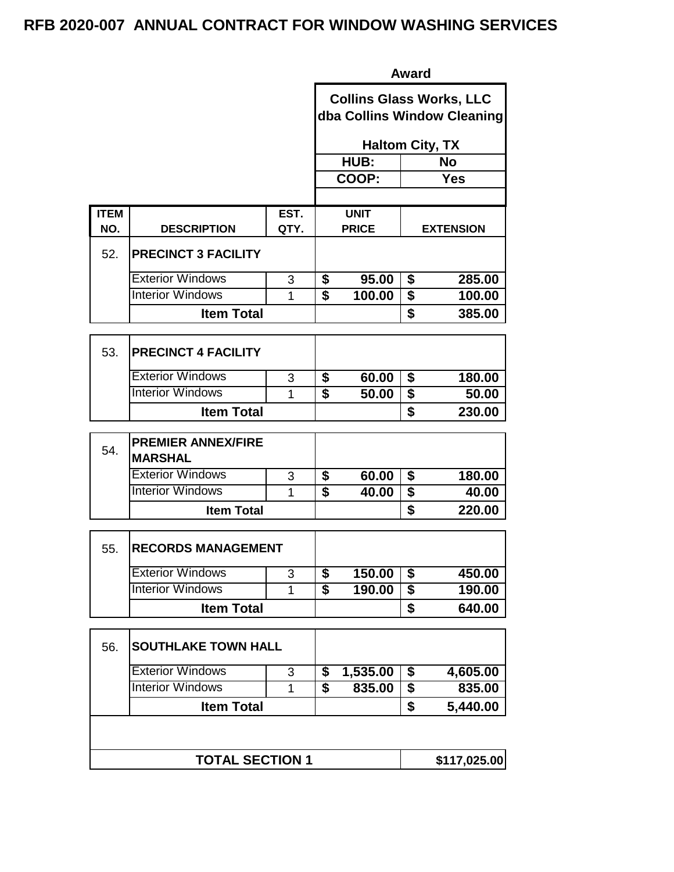|             |                                             |      |                                                                | <b>Award</b>           |                                      |                  |
|-------------|---------------------------------------------|------|----------------------------------------------------------------|------------------------|--------------------------------------|------------------|
|             |                                             |      | <b>Collins Glass Works, LLC</b><br>dba Collins Window Cleaning |                        |                                      |                  |
|             |                                             |      |                                                                | <b>Haltom City, TX</b> |                                      |                  |
|             |                                             |      |                                                                | HUB:                   |                                      | <b>No</b>        |
|             |                                             |      |                                                                | COOP:                  |                                      | <b>Yes</b>       |
| <b>ITEM</b> |                                             | EST. |                                                                | <b>UNIT</b>            |                                      |                  |
| NO.         | <b>DESCRIPTION</b>                          | QTY. |                                                                | <b>PRICE</b>           |                                      | <b>EXTENSION</b> |
| 52.         | <b>PRECINCT 3 FACILITY</b>                  |      |                                                                |                        |                                      |                  |
|             | <b>Exterior Windows</b>                     | 3    | \$                                                             | 95.00                  | \$                                   | 285.00           |
|             | <b>Interior Windows</b>                     | 1    | $\overline{\mathbf{s}}$                                        | 100.00                 | $\overline{\boldsymbol{\mathsf{s}}}$ | 100.00           |
|             | <b>Item Total</b>                           |      |                                                                |                        | \$                                   | 385.00           |
| 53.         | <b>PRECINCT 4 FACILITY</b>                  |      |                                                                |                        |                                      |                  |
|             | <b>Exterior Windows</b>                     | 3    | \$                                                             | 60.00                  | \$                                   | 180.00           |
|             | <b>Interior Windows</b>                     | 1    | \$                                                             | 50.00                  | $\overline{\$}$                      | 50.00            |
|             | <b>Item Total</b>                           |      |                                                                |                        | \$                                   | 230.00           |
| 54.         | <b>PREMIER ANNEX/FIRE</b><br><b>MARSHAL</b> |      |                                                                |                        |                                      |                  |
|             | <b>Exterior Windows</b>                     | 3    | \$                                                             | 60.00                  | \$                                   | 180.00           |
|             | <b>Interior Windows</b>                     | 1    | $\overline{\boldsymbol{s}}$                                    | 40.00                  | \$                                   | 40.00            |
|             | <b>Item Total</b>                           |      |                                                                |                        | \$                                   | 220.00           |
| 55.         | <b>RECORDS MANAGEMENT</b>                   |      |                                                                |                        |                                      |                  |
|             |                                             |      |                                                                |                        |                                      |                  |
|             | <b>Exterior Windows</b>                     | 3    | \$                                                             | 150.00                 | \$                                   | 450.00           |
|             | <b>Interior Windows</b>                     | 1    | $\overline{\$}$                                                | 190.00                 | \$                                   | 190.00           |
|             | <b>Item Total</b>                           |      |                                                                |                        | \$                                   | 640.00           |
| 56.         | <b>SOUTHLAKE TOWN HALL</b>                  |      |                                                                |                        |                                      |                  |
|             | <b>Exterior Windows</b>                     | 3    | \$                                                             | 1,535.00               | \$                                   | 4,605.00         |
|             | <b>Interior Windows</b>                     | 1    | $\overline{\mathbf{s}}$                                        | 835.00                 | $\blacklozenge$                      | 835.00           |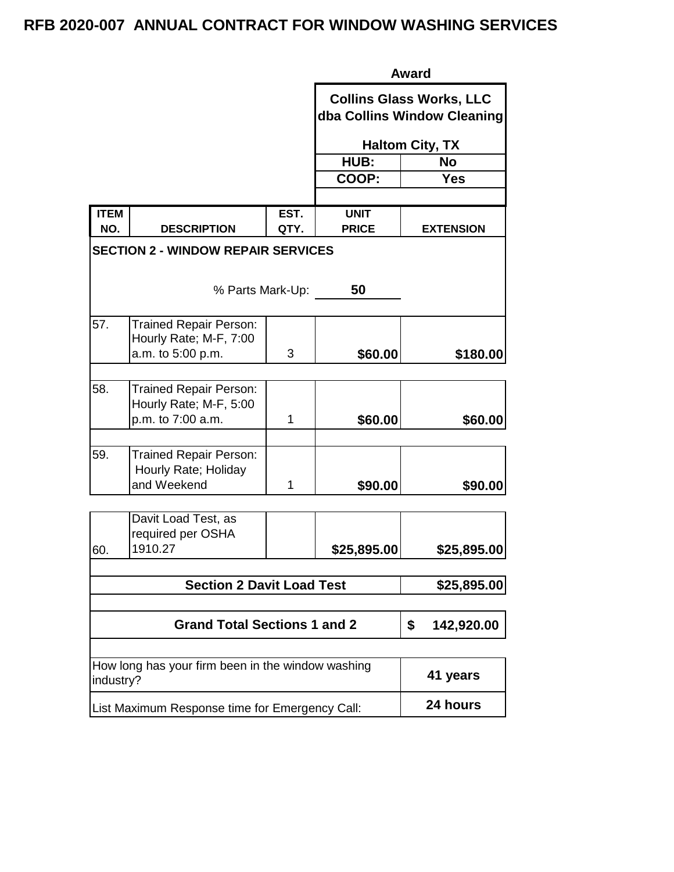|                                                                                     | <b>Award</b>     |              |                                                                |  |  |  |
|-------------------------------------------------------------------------------------|------------------|--------------|----------------------------------------------------------------|--|--|--|
|                                                                                     |                  |              | <b>Collins Glass Works, LLC</b><br>dba Collins Window Cleaning |  |  |  |
|                                                                                     |                  |              | <b>Haltom City, TX</b>                                         |  |  |  |
|                                                                                     |                  | HUB:         | <b>No</b>                                                      |  |  |  |
|                                                                                     |                  | COOP:        | <b>Yes</b>                                                     |  |  |  |
|                                                                                     |                  |              |                                                                |  |  |  |
| <b>ITEM</b>                                                                         | EST.             | <b>UNIT</b>  |                                                                |  |  |  |
| NO.<br><b>DESCRIPTION</b>                                                           | QTY.             | <b>PRICE</b> | <b>EXTENSION</b>                                               |  |  |  |
| <b>SECTION 2 - WINDOW REPAIR SERVICES</b>                                           |                  |              |                                                                |  |  |  |
|                                                                                     | % Parts Mark-Up: | 50           |                                                                |  |  |  |
| 57.<br><b>Trained Repair Person:</b><br>Hourly Rate; M-F, 7:00<br>a.m. to 5:00 p.m. | 3                | \$60.00      | \$180.00                                                       |  |  |  |
| 58.<br><b>Trained Repair Person:</b><br>Hourly Rate; M-F, 5:00<br>p.m. to 7:00 a.m. | 1                | \$60.00      | \$60.00                                                        |  |  |  |
| 59.<br>Trained Repair Person:<br>Hourly Rate; Holiday<br>and Weekend                | 1                | \$90.00      | \$90.00                                                        |  |  |  |
| Davit Load Test, as<br>required per OSHA<br>1910.27<br>60.                          |                  | \$25,895.00  | \$25,895.00                                                    |  |  |  |
| <b>Section 2 Davit Load Test</b>                                                    | \$25,895.00      |              |                                                                |  |  |  |
|                                                                                     |                  |              |                                                                |  |  |  |
| <b>Grand Total Sections 1 and 2</b>                                                 | \$<br>142,920.00 |              |                                                                |  |  |  |
|                                                                                     |                  |              |                                                                |  |  |  |
| How long has your firm been in the window washing<br>industry?                      | 41 years         |              |                                                                |  |  |  |
| List Maximum Response time for Emergency Call:                                      | 24 hours         |              |                                                                |  |  |  |